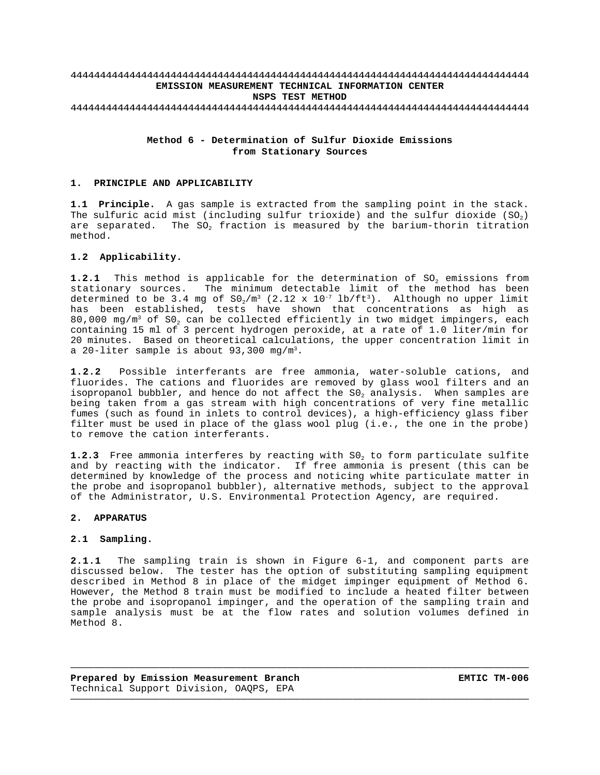### 444444444444444444444444444444444444444444444444444444444444444444444444444444 **EMISSION MEASUREMENT TECHNICAL INFORMATION CENTER NSPS TEST METHOD** 444444444444444444444444444444444444444444444444444444444444444444444444444444

## **Method 6 - Determination of Sulfur Dioxide Emissions from Stationary Sources**

#### **1. PRINCIPLE AND APPLICABILITY**

**1.1 Principle.** A gas sample is extracted from the sampling point in the stack. The sulfuric acid mist (including sulfur trioxide) and the sulfur dioxide  $(SO<sub>2</sub>)$ are separated. The SO<sub>2</sub> fraction is measured by the barium-thorin titration method.

# **1.2 Applicability.**

**1.2.1** This method is applicable for the determination of SO<sub>2</sub> emissions from stationary sources. The minimum detectable limit of the method has been determined to be 3.4 mg of  $\texttt{S0}_2/\texttt{m}^3$  (2.12 x 10<sup>-7</sup> lb/ft<sup>3</sup>). Although no upper limit has been established, tests have shown that concentrations as high as 80,000 mg/m<sup>3</sup> of S0<sub>2</sub> can be collected efficiently in two midget impingers, each containing 15 ml of 3 percent hydrogen peroxide, at a rate of 1.0 liter/min for 20 minutes. Based on theoretical calculations, the upper concentration limit in a 20-liter sample is about  $93,300$  mg/m<sup>3</sup>.

**1.2.2** Possible interferants are free ammonia, water-soluble cations, and fluorides. The cations and fluorides are removed by glass wool filters and an isopropanol bubbler, and hence do not affect the  $SO_2$  analysis. When samples are being taken from a gas stream with high concentrations of very fine metallic fumes (such as found in inlets to control devices), a high-efficiency glass fiber filter must be used in place of the glass wool plug (i.e., the one in the probe) to remove the cation interferants.

**1.2.3** Free ammonia interferes by reacting with SO<sub>2</sub> to form particulate sulfite and by reacting with the indicator. If free ammonia is present (this can be determined by knowledge of the process and noticing white particulate matter in the probe and isopropanol bubbler), alternative methods, subject to the approval of the Administrator, U.S. Environmental Protection Agency, are required.

#### **2. APPARATUS**

#### **2.1 Sampling.**

**2.1.1** The sampling train is shown in Figure 6-1, and component parts are discussed below. The tester has the option of substituting sampling equipment described in Method 8 in place of the midget impinger equipment of Method 6. However, the Method 8 train must be modified to include a heated filter between the probe and isopropanol impinger, and the operation of the sampling train and sample analysis must be at the flow rates and solution volumes defined in Method 8.

——————————————————————————————————————————————————————————————————————————————

——————————————————————————————————————————————————————————————————————————————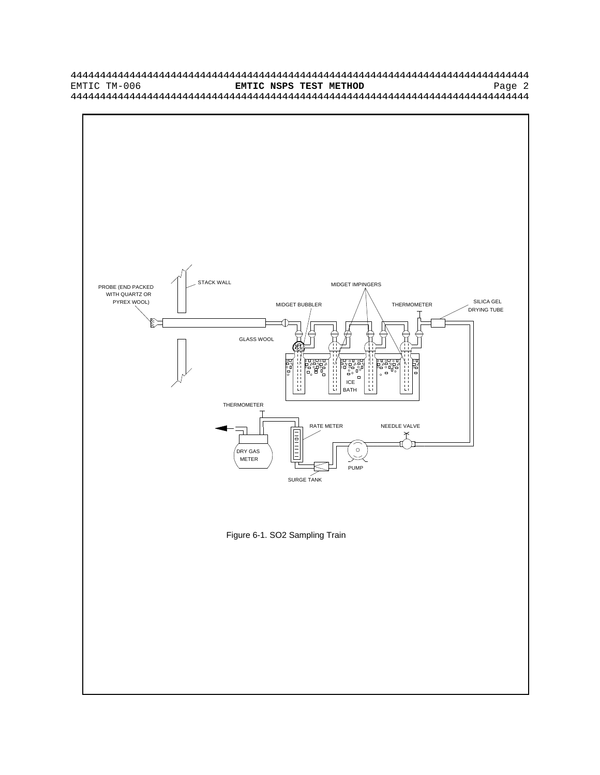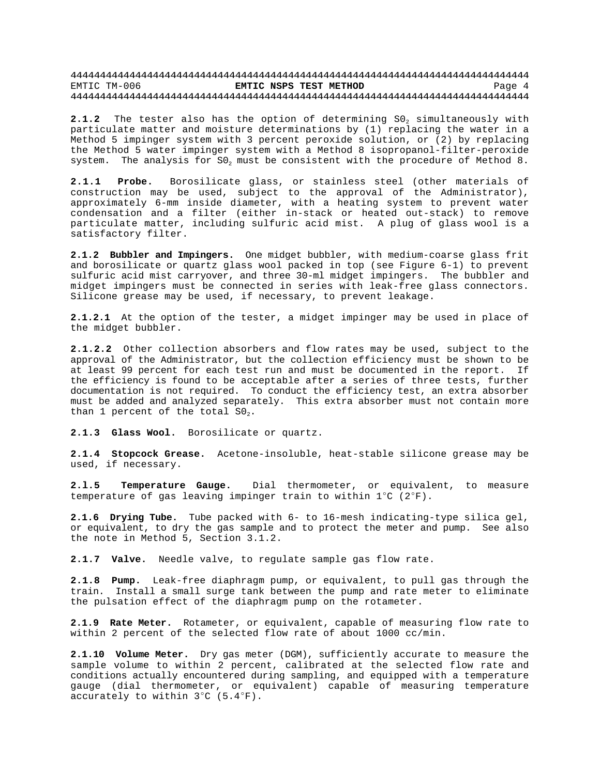2.1.2 The tester also has the option of determining S0<sub>2</sub> simultaneously with particulate matter and moisture determinations by (1) replacing the water in a Method 5 impinger system with 3 percent peroxide solution, or (2) by replacing the Method 5 water impinger system with a Method 8 isopropanol-filter-peroxide system. The analysis for  $SO_2$  must be consistent with the procedure of Method 8.

**2.1.1 Probe.** Borosilicate glass, or stainless steel (other materials of construction may be used, subject to the approval of the Administrator), approximately 6-mm inside diameter, with a heating system to prevent water condensation and a filter (either in-stack or heated out-stack) to remove particulate matter, including sulfuric acid mist. A plug of glass wool is a satisfactory filter.

**2.1.2 Bubbler and Impingers.** One midget bubbler, with medium-coarse glass frit and borosilicate or quartz glass wool packed in top (see Figure 6-1) to prevent sulfuric acid mist carryover, and three 30-ml midget impingers. The bubbler and midget impingers must be connected in series with leak-free glass connectors. Silicone grease may be used, if necessary, to prevent leakage.

**2.1.2.1** At the option of the tester, a midget impinger may be used in place of the midget bubbler.

**2.1.2.2** Other collection absorbers and flow rates may be used, subject to the approval of the Administrator, but the collection efficiency must be shown to be at least 99 percent for each test run and must be documented in the report. If the efficiency is found to be acceptable after a series of three tests, further documentation is not required. To conduct the efficiency test, an extra absorber must be added and analyzed separately. This extra absorber must not contain more than 1 percent of the total  $SO_2$ .

**2.1.3 Glass Wool.** Borosilicate or quartz.

**2.1.4 Stopcock Grease.** Acetone-insoluble, heat-stable silicone grease may be used, if necessary.

**2.l.5 Temperature Gauge.** Dial thermometer, or equivalent, to measure temperature of gas leaving impinger train to within  $1^{\circ}C$  ( $2^{\circ}F$ ).

**2.1.6 Drying Tube.** Tube packed with 6- to 16-mesh indicating-type silica gel, or equivalent, to dry the gas sample and to protect the meter and pump. See also the note in Method 5, Section 3.1.2.

**2.1.7 Valve.** Needle valve, to regulate sample gas flow rate.

**2.1.8 Pump.** Leak-free diaphragm pump, or equivalent, to pull gas through the train. Install a small surge tank between the pump and rate meter to eliminate the pulsation effect of the diaphragm pump on the rotameter.

**2.1.9 Rate Meter.** Rotameter, or equivalent, capable of measuring flow rate to within 2 percent of the selected flow rate of about 1000 cc/min.

**2.1.10 Volume Meter.** Dry gas meter (DGM), sufficiently accurate to measure the sample volume to within 2 percent, calibrated at the selected flow rate and conditions actually encountered during sampling, and equipped with a temperature gauge (dial thermometer, or equivalent) capable of measuring temperature accurately to within  $3^{\circ}$ C (5.4 $^{\circ}$ F).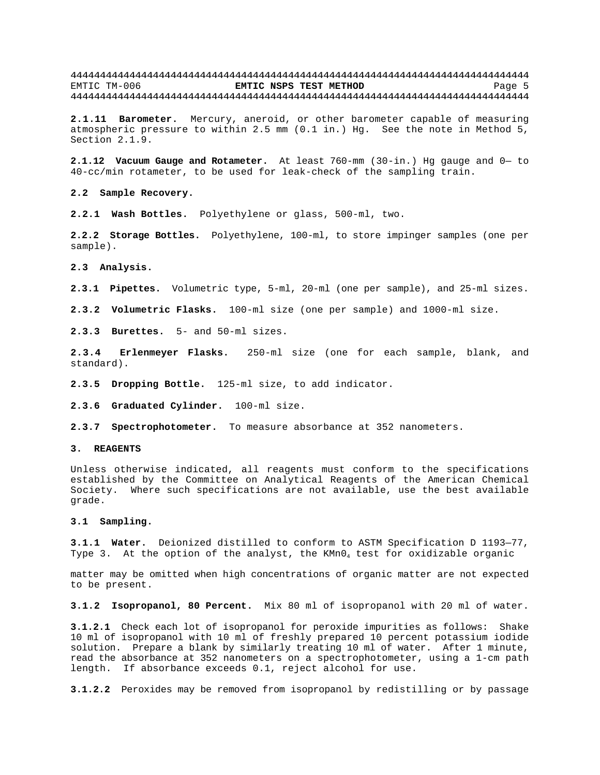**2.1.11 Barometer.** Mercury, aneroid, or other barometer capable of measuring atmospheric pressure to within 2.5 mm (0.1 in.) Hg. See the note in Method 5, Section 2.1.9.

**2.1.12 Vacuum Gauge and Rotameter.** At least 760-mm (30-in.) Hg gauge and 0— to 40-cc/min rotameter, to be used for leak-check of the sampling train.

**2.2 Sample Recovery.**

**2.2.1 Wash Bottles.** Polyethylene or glass, 500-ml, two.

**2.2.2 Storage Bottles.** Polyethylene, 100-ml, to store impinger samples (one per sample).

**2.3 Analysis.**

**2.3.1 Pipettes.** Volumetric type, 5-ml, 20-ml (one per sample), and 25-ml sizes.

**2.3.2 Volumetric Flasks.** 100-ml size (one per sample) and 1000-ml size.

**2.3.3 Burettes.** 5- and 50-ml sizes.

**2.3.4 Erlenmeyer Flasks.** 250-ml size (one for each sample, blank, and standard).

**2.3.5 Dropping Bottle.** 125-ml size, to add indicator.

**2.3.6 Graduated Cylinder.** 100-ml size.

**2.3.7 Spectrophotometer.** To measure absorbance at 352 nanometers.

#### **3. REAGENTS**

Unless otherwise indicated, all reagents must conform to the specifications established by the Committee on Analytical Reagents of the American Chemical Society. Where such specifications are not available, use the best available grade.

#### **3.1 Sampling.**

**3.1.1 Water.** Deionized distilled to conform to ASTM Specification D 1193—77, Type 3. At the option of the analyst, the  $KMDQ_4$  test for oxidizable organic

matter may be omitted when high concentrations of organic matter are not expected to be present.

**3.1.2 Isopropanol, 80 Percent.** Mix 80 ml of isopropanol with 20 ml of water.

**3.1.2.1** Check each lot of isopropanol for peroxide impurities as follows: Shake 10 ml of isopropanol with 10 ml of freshly prepared 10 percent potassium iodide solution. Prepare a blank by similarly treating 10 ml of water. After 1 minute, read the absorbance at 352 nanometers on a spectrophotometer, using a 1-cm path length. If absorbance exceeds 0.1, reject alcohol for use.

**3.1.2.2** Peroxides may be removed from isopropanol by redistilling or by passage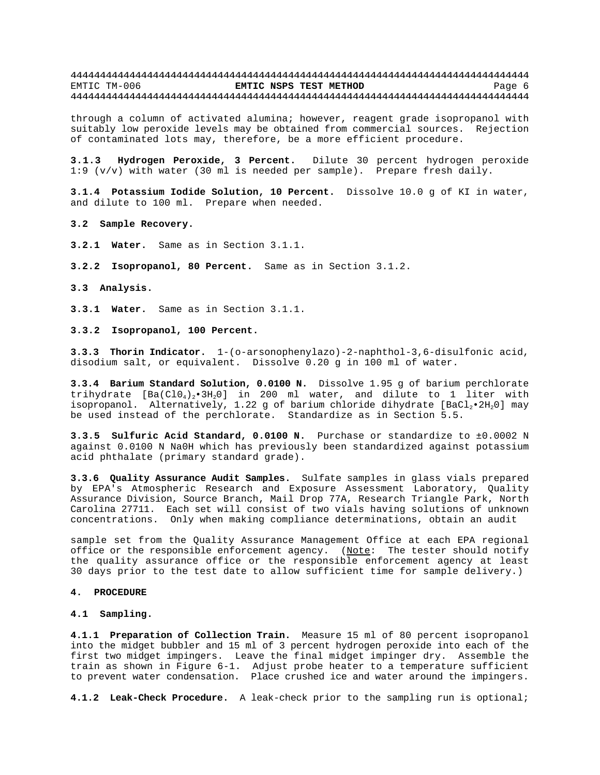through a column of activated alumina; however, reagent grade isopropanol with suitably low peroxide levels may be obtained from commercial sources. Rejection of contaminated lots may, therefore, be a more efficient procedure.

**3.1.3 Hydrogen Peroxide, 3 Percent.** Dilute 30 percent hydrogen peroxide 1:9 (v/v) with water (30 ml is needed per sample). Prepare fresh daily.

**3.1.4 Potassium Iodide Solution, 10 Percent.** Dissolve 10.0 g of KI in water, and dilute to 100 ml. Prepare when needed.

**3.2 Sample Recovery.**

**3.2.1 Water.** Same as in Section 3.1.1.

**3.2.2 Isopropanol, 80 Percent.** Same as in Section 3.1.2.

**3.3 Analysis.**

**3.3.1 Water.** Same as in Section 3.1.1.

**3.3.2 Isopropanol, 100 Percent.**

**3.3.3 Thorin Indicator.** 1-(o-arsonophenylazo)-2-naphthol-3,6-disulfonic acid, disodium salt, or equivalent. Dissolve 0.20 g in 100 ml of water.

**3.3.4 Barium Standard Solution, 0.0100 N.** Dissolve 1.95 g of barium perchlorate trihydrate  $[Ba(C10<sub>4</sub>)<sub>2</sub>•3H<sub>2</sub>0]$  in 200 ml water, and dilute to 1 liter with isopropanol. Alternatively, 1.22 g of barium chloride dihydrate [BaCl<sub>2</sub>•2H<sub>2</sub>0] may be used instead of the perchlorate. Standardize as in Section 5.5.

**3.3.5 Sulfuric Acid Standard, 0.0100 N.** Purchase or standardize to ±0.0002 N against 0.0100 N Na0H which has previously been standardized against potassium acid phthalate (primary standard grade).

**3.3.6 Quality Assurance Audit Samples.** Sulfate samples in glass vials prepared by EPA's Atmospheric Research and Exposure Assessment Laboratory, Quality Assurance Division, Source Branch, Mail Drop 77A, Research Triangle Park, North Carolina 27711. Each set will consist of two vials having solutions of unknown concentrations. Only when making compliance determinations, obtain an audit

sample set from the Quality Assurance Management Office at each EPA regional office or the responsible enforcement agency. (Note: The tester should notify the quality assurance office or the responsible enforcement agency at least 30 days prior to the test date to allow sufficient time for sample delivery.)

#### **4. PROCEDURE**

### **4.1 Sampling.**

**4.1.1 Preparation of Collection Train.** Measure 15 ml of 80 percent isopropanol into the midget bubbler and 15 ml of 3 percent hydrogen peroxide into each of the first two midget impingers. Leave the final midget impinger dry. Assemble the train as shown in Figure 6-1. Adjust probe heater to a temperature sufficient to prevent water condensation. Place crushed ice and water around the impingers.

**4.1.2 Leak-Check Procedure.** A leak-check prior to the sampling run is optional;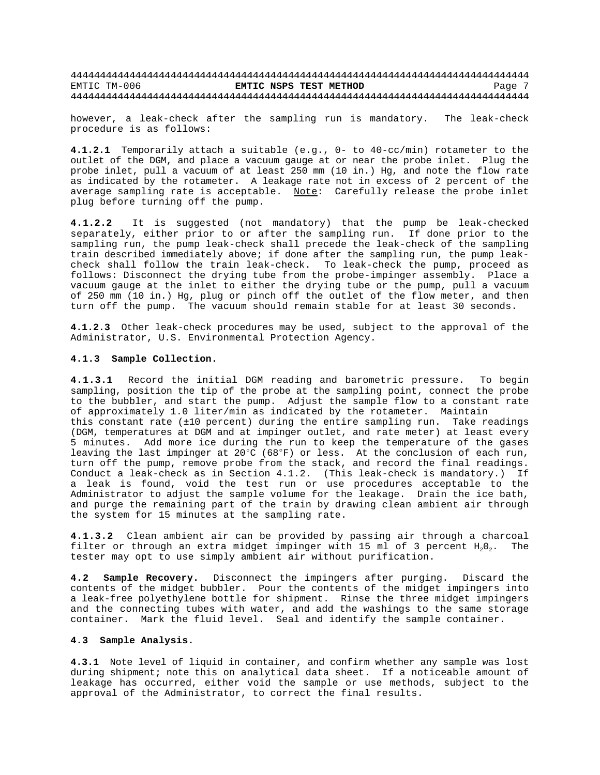however, a leak-check after the sampling run is mandatory. The leak-check procedure is as follows:

**4.1.2.1** Temporarily attach a suitable (e.g., 0- to 40-cc/min) rotameter to the outlet of the DGM, and place a vacuum gauge at or near the probe inlet. Plug the probe inlet, pull a vacuum of at least 250 mm (10 in.) Hg, and note the flow rate as indicated by the rotameter. A leakage rate not in excess of 2 percent of the average sampling rate is acceptable. Note: Carefully release the probe inlet plug before turning off the pump.

**4.1.2.2** It is suggested (not mandatory) that the pump be leak-checked separately, either prior to or after the sampling run. If done prior to the sampling run, the pump leak-check shall precede the leak-check of the sampling train described immediately above; if done after the sampling run, the pump leakcheck shall follow the train leak-check. To leak-check the pump, proceed as follows: Disconnect the drying tube from the probe-impinger assembly. Place a vacuum gauge at the inlet to either the drying tube or the pump, pull a vacuum of 250 mm (10 in.) Hg, plug or pinch off the outlet of the flow meter, and then turn off the pump. The vacuum should remain stable for at least 30 seconds.

**4.1.2.3** Other leak-check procedures may be used, subject to the approval of the Administrator, U.S. Environmental Protection Agency.

#### **4.1.3 Sample Collection.**

**4.1.3.1** Record the initial DGM reading and barometric pressure. To begin sampling, position the tip of the probe at the sampling point, connect the probe to the bubbler, and start the pump. Adjust the sample flow to a constant rate of approximately 1.0 liter/min as indicated by the rotameter. Maintain this constant rate (±10 percent) during the entire sampling run. Take readings (DGM, temperatures at DGM and at impinger outlet, and rate meter) at least every 5 minutes. Add more ice during the run to keep the temperature of the gases leaving the last impinger at 20°C (68°F) or less. At the conclusion of each run, turn off the pump, remove probe from the stack, and record the final readings. Conduct a leak-check as in Section 4.1.2. (This leak-check is mandatory.) If a leak is found, void the test run or use procedures acceptable to the Administrator to adjust the sample volume for the leakage. Drain the ice bath, and purge the remaining part of the train by drawing clean ambient air through the system for 15 minutes at the sampling rate.

**4.1.3.2** Clean ambient air can be provided by passing air through a charcoal filter or through an extra midget impinger with 15 ml of 3 percent  $H_2O_2$ . The tester may opt to use simply ambient air without purification.

**4.2 Sample Recovery.** Disconnect the impingers after purging. Discard the contents of the midget bubbler. Pour the contents of the midget impingers into a leak-free polyethylene bottle for shipment. Rinse the three midget impingers and the connecting tubes with water, and add the washings to the same storage container. Mark the fluid level. Seal and identify the sample container.

### **4.3 Sample Analysis.**

**4.3.1** Note level of liquid in container, and confirm whether any sample was lost during shipment; note this on analytical data sheet. If a noticeable amount of leakage has occurred, either void the sample or use methods, subject to the approval of the Administrator, to correct the final results.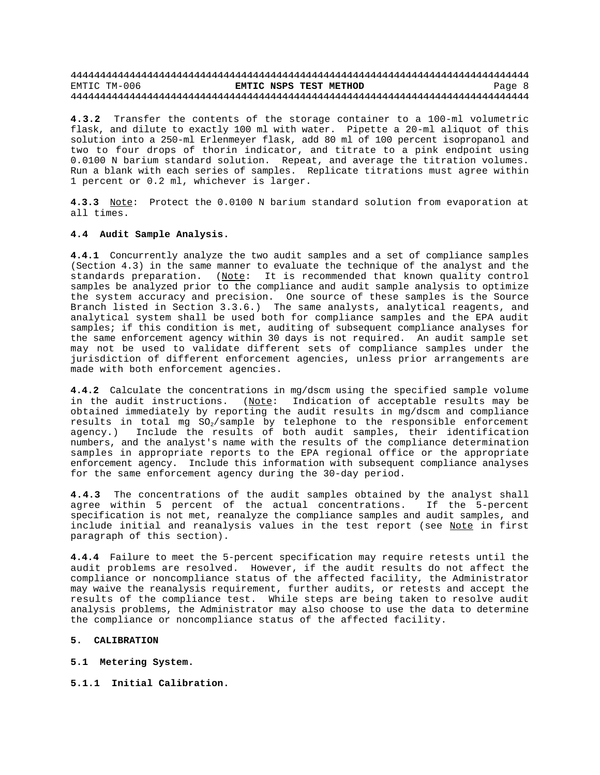**4.3.2** Transfer the contents of the storage container to a 100-ml volumetric flask, and dilute to exactly 100 ml with water. Pipette a 20-ml aliquot of this solution into a 250-ml Erlenmeyer flask, add 80 ml of 100 percent isopropanol and two to four drops of thorin indicator, and titrate to a pink endpoint using 0.0100 N barium standard solution. Repeat, and average the titration volumes. Run a blank with each series of samples. Replicate titrations must agree within 1 percent or 0.2 ml, whichever is larger.

**4.3.3** Note: Protect the 0.0100 N barium standard solution from evaporation at all times.

#### **4.4 Audit Sample Analysis.**

**4.4.1** Concurrently analyze the two audit samples and a set of compliance samples (Section 4.3) in the same manner to evaluate the technique of the analyst and the standards preparation. (Note: It is recommended that known quality control samples be analyzed prior to the compliance and audit sample analysis to optimize the system accuracy and precision. One source of these samples is the Source Branch listed in Section 3.3.6.) The same analysts, analytical reagents, and analytical system shall be used both for compliance samples and the EPA audit samples; if this condition is met, auditing of subsequent compliance analyses for the same enforcement agency within 30 days is not required. An audit sample set may not be used to validate different sets of compliance samples under the jurisdiction of different enforcement agencies, unless prior arrangements are made with both enforcement agencies.

**4.4.2** Calculate the concentrations in mg/dscm using the specified sample volume in the audit instructions.  $(Note:$  Indication of acceptable results may be obtained immediately by reporting the audit results in mg/dscm and compliance results in total mg  $SO_2$ /sample by telephone to the responsible enforcement agency.) Include the results of both audit samples, their identification numbers, and the analyst's name with the results of the compliance determination samples in appropriate reports to the EPA regional office or the appropriate enforcement agency. Include this information with subsequent compliance analyses for the same enforcement agency during the 30-day period.

**4.4.3** The concentrations of the audit samples obtained by the analyst shall agree within 5 percent of the actual concentrations. If the 5-percent specification is not met, reanalyze the compliance samples and audit samples, and include initial and reanalysis values in the test report (see Note in first paragraph of this section).

**4.4.4** Failure to meet the 5-percent specification may require retests until the audit problems are resolved. However, if the audit results do not affect the compliance or noncompliance status of the affected facility, the Administrator may waive the reanalysis requirement, further audits, or retests and accept the results of the compliance test. While steps are being taken to resolve audit analysis problems, the Administrator may also choose to use the data to determine the compliance or noncompliance status of the affected facility.

#### **5. CALIBRATION**

**5.1 Metering System.**

**5.1.1 Initial Calibration.**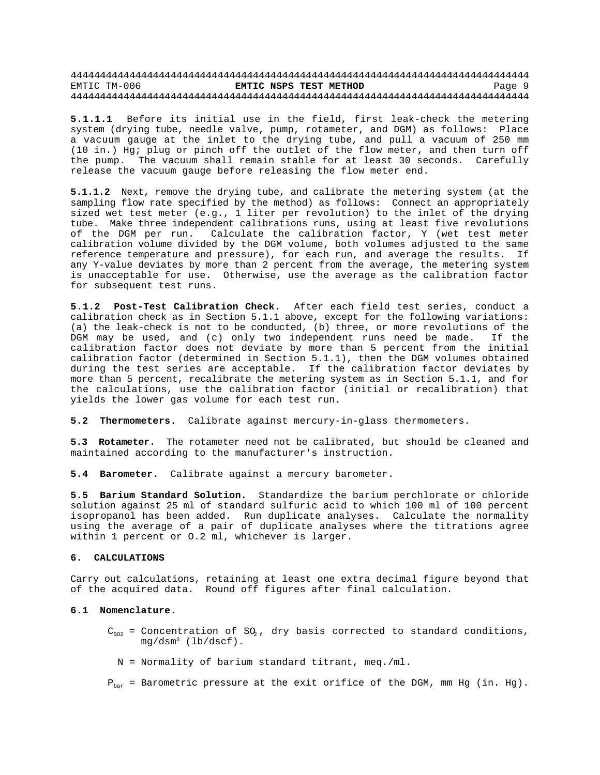**5.1.1.1** Before its initial use in the field, first leak-check the metering system (drying tube, needle valve, pump, rotameter, and DGM) as follows: Place a vacuum gauge at the inlet to the drying tube, and pull a vacuum of 250 mm (10 in.) Hg; plug or pinch off the outlet of the flow meter, and then turn off the pump. The vacuum shall remain stable for at least 30 seconds. Carefully release the vacuum gauge before releasing the flow meter end.

**5.1.1.2** Next, remove the drying tube, and calibrate the metering system (at the sampling flow rate specified by the method) as follows: Connect an appropriately sized wet test meter (e.g., 1 liter per revolution) to the inlet of the drying tube. Make three independent calibrations runs, using at least five revolutions of the DGM per run. Calculate the calibration factor, Y (wet test meter calibration volume divided by the DGM volume, both volumes adjusted to the same reference temperature and pressure), for each run, and average the results. If any Y-value deviates by more than 2 percent from the average, the metering system is unacceptable for use. Otherwise, use the average as the calibration factor for subsequent test runs.

**5.1.2 Post-Test Calibration Check.** After each field test series, conduct a calibration check as in Section 5.1.1 above, except for the following variations: (a) the leak-check is not to be conducted, (b) three, or more revolutions of the DGM may be used, and (c) only two independent runs need be made. If the calibration factor does not deviate by more than 5 percent from the initial calibration factor (determined in Section 5.1.1), then the DGM volumes obtained during the test series are acceptable. If the calibration factor deviates by more than 5 percent, recalibrate the metering system as in Section 5.1.1, and for the calculations, use the calibration factor (initial or recalibration) that yields the lower gas volume for each test run.

**5.2 Thermometers.** Calibrate against mercury-in-glass thermometers.

**5.3 Rotameter.** The rotameter need not be calibrated, but should be cleaned and maintained according to the manufacturer's instruction.

**5.4 Barometer.** Calibrate against a mercury barometer.

**5.5 Barium Standard Solution.** Standardize the barium perchlorate or chloride solution against 25 ml of standard sulfuric acid to which 100 ml of 100 percent isopropanol has been added. Run duplicate analyses. Calculate the normality using the average of a pair of duplicate analyses where the titrations agree within 1 percent or O.2 ml, whichever is larger.

#### **6. CALCULATIONS**

Carry out calculations, retaining at least one extra decimal figure beyond that of the acquired data. Round off figures after final calculation.

#### **6.1 Nomenclature.**

- $C_{502}$  = Concentration of SO<sub>2</sub>, dry basis corrected to standard conditions,  $mg/dsm^3$  (lb/dscf).
	- N = Normality of barium standard titrant, meq./ml.

 $P_{bar}$  = Barometric pressure at the exit orifice of the DGM, mm Hg (in. Hg).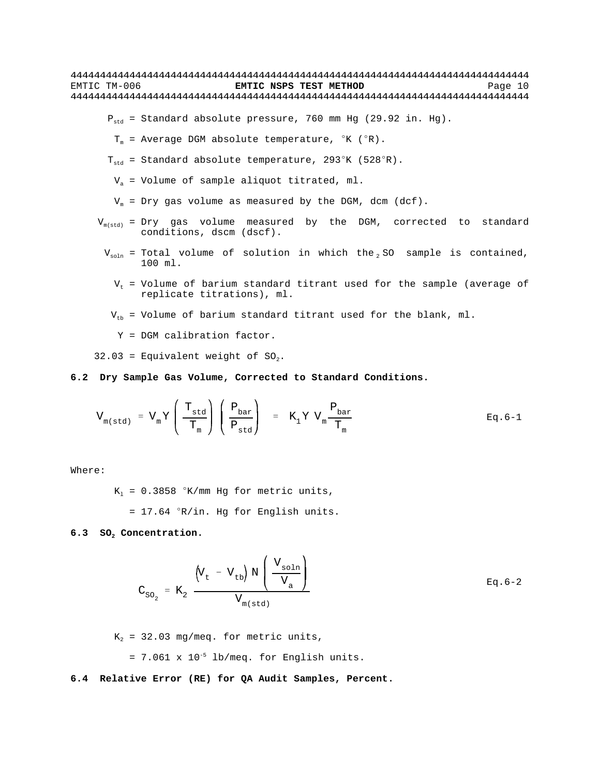$P_{std}$  = Standard absolute pressure, 760 mm Hg (29.92 in. Hg).

- $T_m$  = Average DGM absolute temperature,  $K(S)$ .
- $T_{std}$  = Standard absolute temperature, 293°K (528°R).
- $V_a$  = Volume of sample aliquot titrated, ml.
- $V_m$  = Dry gas volume as measured by the DGM, dcm (dcf).
- $V_{m(std)}$  = Dry gas volume measured by the DGM, corrected to standard conditions, dscm (dscf).
- $V_{\text{soln}}$  = Total volume of solution in which the SO sample is contained, 100 ml.
	- $V_t$  = Volume of barium standard titrant used for the sample (average of replicate titrations), ml.
	- $V_{th}$  = Volume of barium standard titrant used for the blank, ml.
		- Y = DGM calibration factor.

32.03 = Equivalent weight of  $SO_2$ .

### **6.2 Dry Sample Gas Volume, Corrected to Standard Conditions.**

$$
V_{m(\text{std})} = V_m Y \left( \frac{T_{\text{std}}}{T_m} \right) \left( \frac{P_{\text{bar}}}{P_{\text{std}}} \right) = K_1 Y V_m \frac{P_{\text{bar}}}{T_m} \qquad \text{Eq. 6-1}
$$

Where:

 $K_1 = 0.3858$  °K/mm Hg for metric units,

 $= 17.64$   $\degree$ R/in. Hg for English units.

### **6.3 SO2 Concentration.**

$$
C_{SO_2} = K_2 \frac{\left(V_t - V_{tb}\right) N \left(\frac{V_{soln}}{V_a}\right)}{V_{m(std)}}
$$
 Eq. 6-2

 $K_2$  = 32.03 mg/meq. for metric units,

 $= 7.061 \times 10^{-5}$  lb/meq. for English units.

#### **6.4 Relative Error (RE) for QA Audit Samples, Percent.**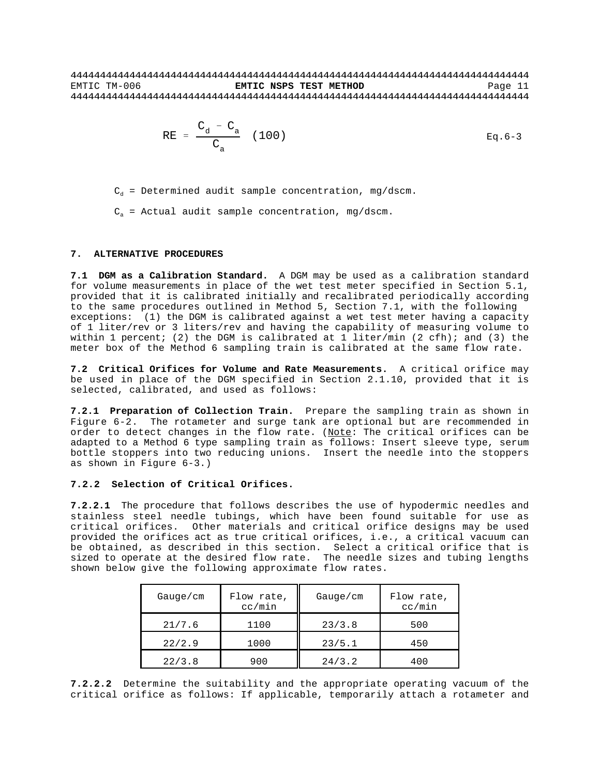RE = 
$$
\frac{C_d - C_a}{C_a}
$$
 (100) Eq. 6-3

 $C_d$  = Determined audit sample concentration, mg/dscm.

 $C_n$  = Actual audit sample concentration, mg/dscm.

#### **7. ALTERNATIVE PROCEDURES**

**7.1 DGM as a Calibration Standard.** A DGM may be used as a calibration standard for volume measurements in place of the wet test meter specified in Section 5.1, provided that it is calibrated initially and recalibrated periodically according to the same procedures outlined in Method 5, Section 7.1, with the following exceptions: (1) the DGM is calibrated against a wet test meter having a capacity of 1 liter/rev or 3 liters/rev and having the capability of measuring volume to within 1 percent; (2) the DGM is calibrated at 1 liter/min (2 cfh); and (3) the meter box of the Method 6 sampling train is calibrated at the same flow rate.

**7.2 Critical Orifices for Volume and Rate Measurements.** A critical orifice may be used in place of the DGM specified in Section 2.1.10, provided that it is selected, calibrated, and used as follows:

**7.2.1 Preparation of Collection Train.** Prepare the sampling train as shown in Figure 6-2. The rotameter and surge tank are optional but are recommended in order to detect changes in the flow rate. (Note: The critical orifices can be adapted to a Method 6 type sampling train as follows: Insert sleeve type, serum bottle stoppers into two reducing unions. Insert the needle into the stoppers as shown in Figure 6-3.)

## **7.2.2 Selection of Critical Orifices.**

**7.2.2.1** The procedure that follows describes the use of hypodermic needles and stainless steel needle tubings, which have been found suitable for use as critical orifices. Other materials and critical orifice designs may be used provided the orifices act as true critical orifices, i.e., a critical vacuum can be obtained, as described in this section. Select a critical orifice that is sized to operate at the desired flow rate. The needle sizes and tubing lengths shown below give the following approximate flow rates.

| Gauge/cm | Flow rate,<br>cc/min | Gauge/cm | Flow rate,<br>cc/min |
|----------|----------------------|----------|----------------------|
| 21/7.6   | 1100                 | 23/3.8   | 500                  |
| 22/2.9   | 1000                 | 23/5.1   | 450                  |
| 22/3.8   | 900                  | 24/3.2   | 400                  |

**7.2.2.2** Determine the suitability and the appropriate operating vacuum of the critical orifice as follows: If applicable, temporarily attach a rotameter and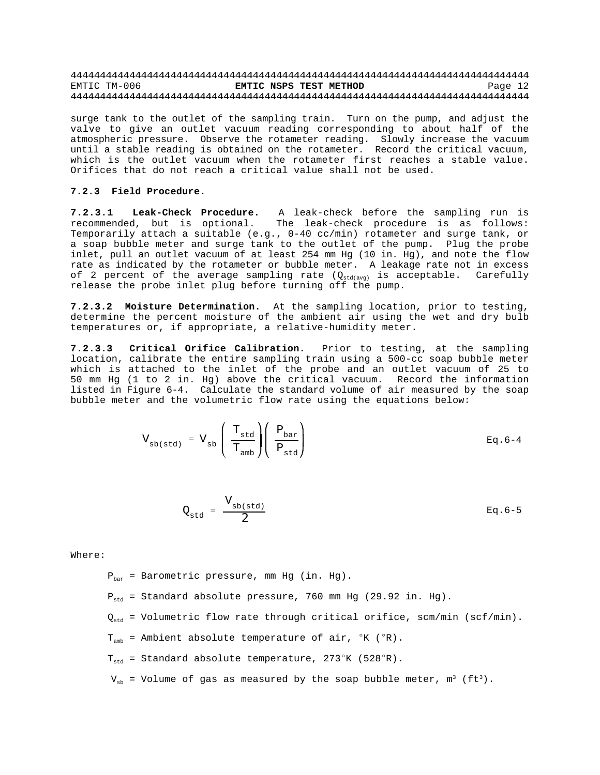surge tank to the outlet of the sampling train. Turn on the pump, and adjust the valve to give an outlet vacuum reading corresponding to about half of the atmospheric pressure. Observe the rotameter reading. Slowly increase the vacuum until a stable reading is obtained on the rotameter. Record the critical vacuum, which is the outlet vacuum when the rotameter first reaches a stable value. Orifices that do not reach a critical value shall not be used.

### **7.2.3 Field Procedure.**

**7.2.3.1 Leak-Check Procedure.** A leak-check before the sampling run is recommended, but is optional. The leak-check procedure is as follows: Temporarily attach a suitable (e.g., 0-40 cc/min) rotameter and surge tank, or a soap bubble meter and surge tank to the outlet of the pump. Plug the probe inlet, pull an outlet vacuum of at least 254 mm Hg (10 in. Hg), and note the flow rate as indicated by the rotameter or bubble meter. A leakage rate not in excess of 2 percent of the average sampling rate  $(Q_{std(avg)}$  is acceptable. Carefully release the probe inlet plug before turning off the pump.

**7.2.3.2 Moisture Determination.** At the sampling location, prior to testing, determine the percent moisture of the ambient air using the wet and dry bulb temperatures or, if appropriate, a relative-humidity meter.

**7.2.3.3 Critical Orifice Calibration.** Prior to testing, at the sampling location, calibrate the entire sampling train using a 500-cc soap bubble meter which is attached to the inlet of the probe and an outlet vacuum of 25 to 50 mm Hg (1 to 2 in. Hg) above the critical vacuum. Record the information listed in Figure 6-4. Calculate the standard volume of air measured by the soap bubble meter and the volumetric flow rate using the equations below:

$$
V_{sb(std)} = V_{sb} \left( \frac{T_{std}}{T_{amb}} \right) \left( \frac{P_{bar}}{P_{std}} \right)
$$
 Eq. 6-4

$$
Q_{\rm std} = \frac{V_{\rm sb(std)}}{2} \qquad \qquad \text{Eq. 6-5}
$$

Where:

 $P_{\text{bar}}$  = Barometric pressure, mm Hg (in. Hg).

 $P_{std}$  = Standard absolute pressure, 760 mm Hg (29.92 in. Hg).

- $Q_{std}$  = Volumetric flow rate through critical orifice, scm/min (scf/min).
- $T_{amb}$  = Ambient absolute temperature of air,  $K$  ( $R$ ).
- $T_{std}$  = Standard absolute temperature, 273°K (528°R).
- $V_{\text{sh}}$  = Volume of gas as measured by the soap bubble meter,  $m^3$  (ft<sup>3</sup>).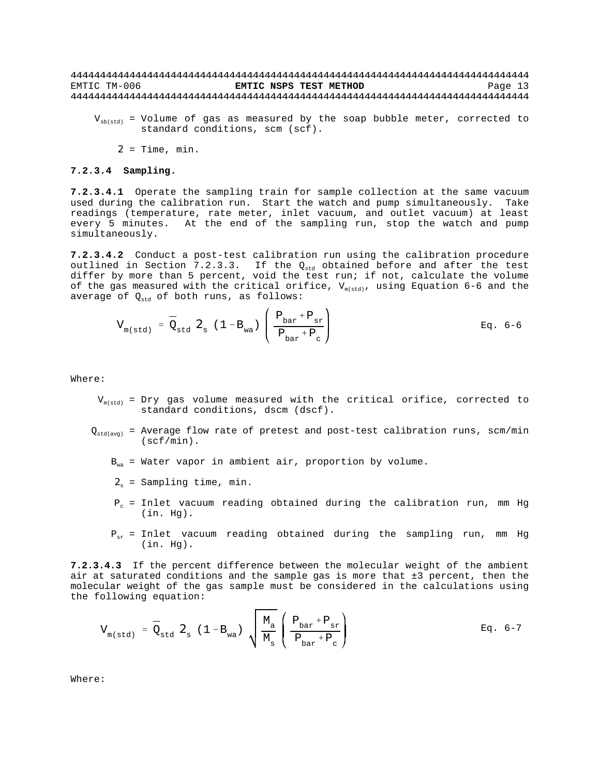$V_{\text{sh(std)}}$  = Volume of gas as measured by the soap bubble meter, corrected to standard conditions, scm (scf).

 $2$  = Time, min.

#### **7.2.3.4 Sampling.**

**7.2.3.4.1** Operate the sampling train for sample collection at the same vacuum used during the calibration run. Start the watch and pump simultaneously. Take readings (temperature, rate meter, inlet vacuum, and outlet vacuum) at least every 5 minutes. At the end of the sampling run, stop the watch and pump simultaneously.

**7.2.3.4.2** Conduct a post-test calibration run using the calibration procedure outlined in Section 7.2.3.3. If the  $Q_{std}$  obtained before and after the test differ by more than 5 percent, void the test run; if not, calculate the volume of the gas measured with the critical orifice,  $V_{m(std)}$ , using Equation 6-6 and the average of  $Q_{std}$  of both runs, as follows:

$$
V_{m(std)} = \bar{Q}_{std} \mathbf{2}_{s} (1 - B_{wa}) \left( \frac{P_{bar} + P_{sr}}{P_{bar} + P_{c}} \right)
$$
 Eq. 6-6

Where:

- $V_{m(std)}$  = Dry gas volume measured with the critical orifice, corrected to standard conditions, dscm (dscf).
- $Q_{std(avg)}$  = Average flow rate of pretest and post-test calibration runs, scm/min (scf/min).
	- $B_{wa}$  = Water vapor in ambient air, proportion by volume.
	- $2_{s}$  = Sampling time, min.
	- $P_c$  = Inlet vacuum reading obtained during the calibration run, mm Hg (in. Hg).
	- $P_{\text{ex}}$  = Inlet vacuum reading obtained during the sampling run, mm Hg (in. Hg).

**7.2.3.4.3** If the percent difference between the molecular weight of the ambient air at saturated conditions and the sample gas is more that ±3 percent, then the molecular weight of the gas sample must be considered in the calculations using the following equation:

$$
V_{m(std)} = \bar{Q}_{std} \mathbf{2}_{s} (1 - B_{wa}) \sqrt{\frac{M_a}{M_s}} \left( \frac{P_{bar} + P_{sr}}{P_{bar} + P_{c}} \right)
$$
 Eq. 6-7

Where: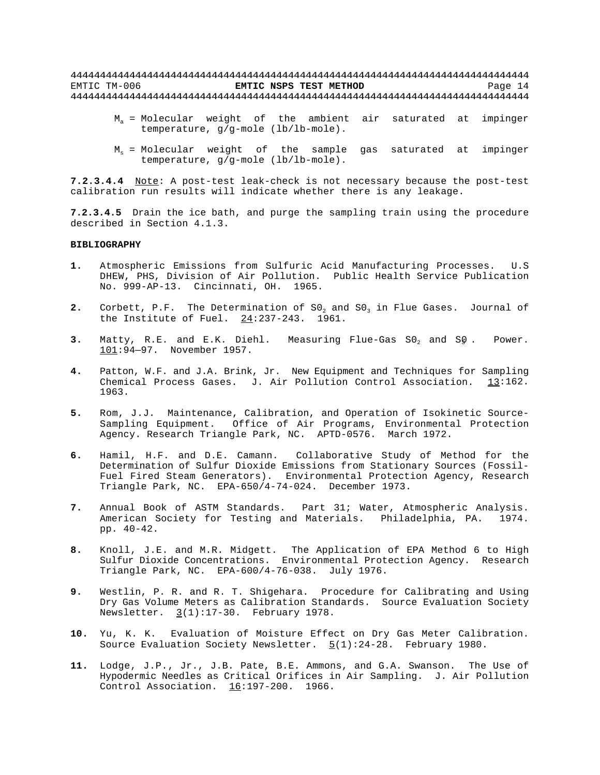- $M<sub>a</sub>$  = Molecular weight of the ambient air saturated at impinger temperature, g/g-mole (lb/lb-mole).
- $M<sub>s</sub>$  = Molecular weight of the sample gas saturated at impinger temperature, g/g-mole (lb/lb-mole).

**7.2.3.4.4** Note: A post-test leak-check is not necessary because the post-test calibration run results will indicate whether there is any leakage.

**7.2.3.4.5** Drain the ice bath, and purge the sampling train using the procedure described in Section 4.1.3.

#### **BIBLIOGRAPHY**

- **1.** Atmospheric Emissions from Sulfuric Acid Manufacturing Processes. U.S DHEW, PHS, Division of Air Pollution. Public Health Service Publication No. 999-AP-13. Cincinnati, OH. 1965.
- **2.** Corbett, P.F. The Determination of SO<sub>2</sub> and SO<sub>3</sub> in Flue Gases. Journal of the Institute of Fuel.  $24:237-243$ . 1961.
- **3.** Matty, R.E. and E.K. Diehl. Measuring Flue-Gas SO<sub>2</sub> and SQ. Power. 101:94—97. November 1957.
- **4.** Patton, W.F. and J.A. Brink, Jr. New Equipment and Techniques for Sampling Chemical Process Gases. J. Air Pollution Control Association. 13:162. 1963.
- **5.** Rom, J.J. Maintenance, Calibration, and Operation of Isokinetic Source-Sampling Equipment. Office of Air Programs, Environmental Protection Agency. Research Triangle Park, NC. APTD-0576. March 1972.
- **6.** Hamil, H.F. and D.E. Camann. Collaborative Study of Method for the Determination of Sulfur Dioxide Emissions from Stationary Sources (Fossil-Fuel Fired Steam Generators). Environmental Protection Agency, Research Triangle Park, NC. EPA-650/4-74-024. December 1973.
- **7.** Annual Book of ASTM Standards. Part 31; Water, Atmospheric Analysis. American Society for Testing and Materials. Philadelphia, PA. 1974. pp. 40-42.
- **8.** Knoll, J.E. and M.R. Midgett. The Application of EPA Method 6 to High Sulfur Dioxide Concentrations. Environmental Protection Agency. Research Triangle Park, NC. EPA-600/4-76-038. July 1976.
- **9.** Westlin, P. R. and R. T. Shigehara. Procedure for Calibrating and Using Dry Gas Volume Meters as Calibration Standards. Source Evaluation Society Newsletter.  $3(1):17-30$ . February 1978.
- **10.** Yu, K. K. Evaluation of Moisture Effect on Dry Gas Meter Calibration. Source Evaluation Society Newsletter.  $\underline{5}(1):24-28$ . February 1980.
- **11.** Lodge, J.P., Jr., J.B. Pate, B.E. Ammons, and G.A. Swanson. The Use of Hypodermic Needles as Critical Orifices in Air Sampling. J. Air Pollution Control Association. 16:197-200. 1966.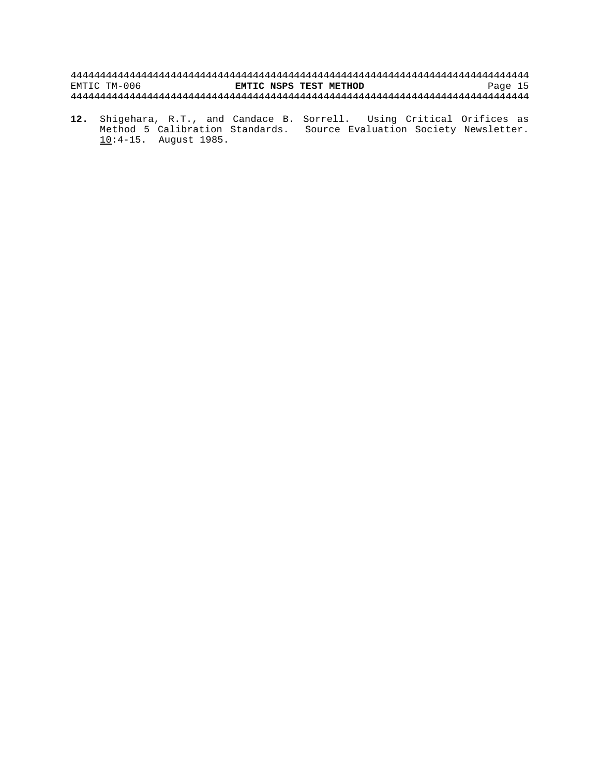**12.** Shigehara, R.T., and Candace B. Sorrell. Using Critical Orifices as Method 5 Calibration Standards. Source Evaluation Society Newsletter. 10:4-15. August 1985.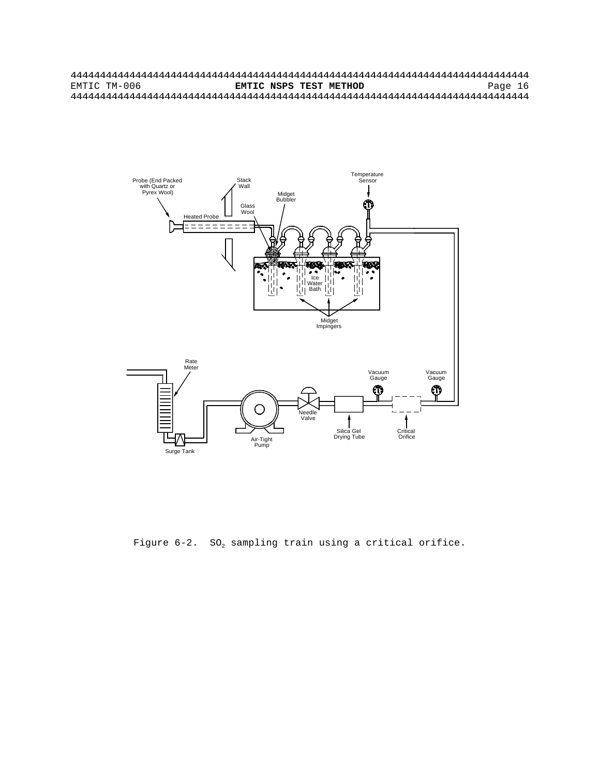

Figure  $6-2$ . SO<sub>2</sub> sampling train using a critical orifice.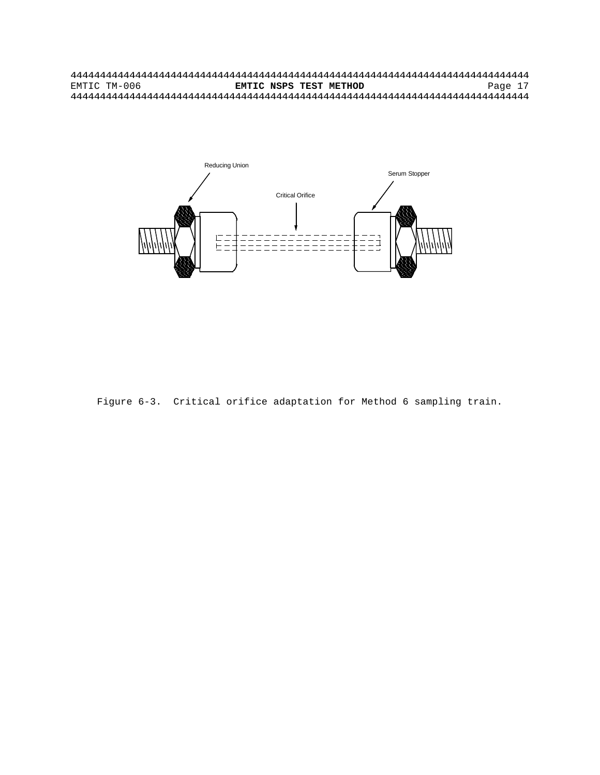

Figure 6-3. Critical orifice adaptation for Method 6 sampling train.